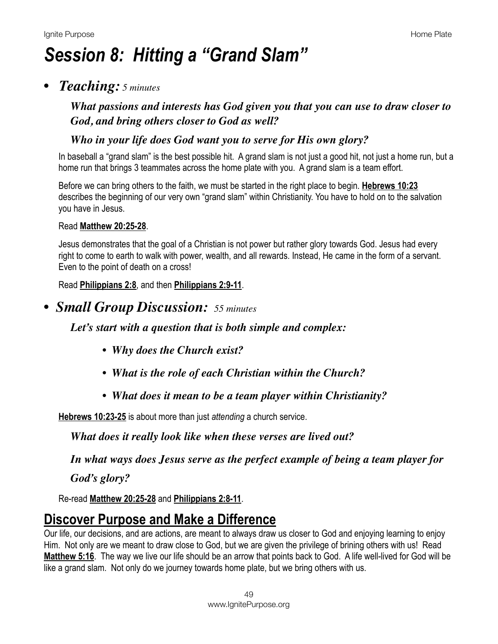# *Session 8: Hitting a "Grand Slam"*

### *• Teaching: 5 minutes*

*What passions and interests has God given you that you can use to draw closer to God, and bring others closer to God as well?* 

#### *Who in your life does God want you to serve for His own glory?*

In baseball a "grand slam" is the best possible hit. A grand slam is not just a good hit, not just a home run, but a home run that brings 3 teammates across the home plate with you. A grand slam is a team effort.

Before we can bring others to the faith, we must be started in the right place to begin. **[Hebrews 10:23](https://www.biblegateway.com/passage/?search=Hebrews+10:23&version=NIV)** describes the beginning of our very own "grand slam" within Christianity. You have to hold on to the salvation you have in Jesus.

#### Read **[Matthew 20:25-28](https://www.biblegateway.com/passage/?search=Matthew+20:25-28&version=NIV)**.

Jesus demonstrates that the goal of a Christian is not power but rather glory towards God. Jesus had every right to come to earth to walk with power, wealth, and all rewards. Instead, He came in the form of a servant. Even to the point of death on a cross!

#### Read **[Philippians 2:8](https://www.biblegateway.com/passage/?search=Philippians+2:8&version=NIV)**, and then **[Philippians 2:9-11](https://www.biblegateway.com/passage/?search=Philippians+2:9-11&version=NIV)**.

### *• Small Group Discussion: 55 minutes*

*Let's start with a question that is both simple and complex:* 

- *Why does the Church exist?*
- *What is the role of each Christian within the Church?*
- *What does it mean to be a team player within Christianity?*

**[Hebrews 10:23-25](https://www.biblegateway.com/passage/?search=Hebrews+10:23-25&version=NIV)** is about more than just *attending* a church service.

*What does it really look like when these verses are lived out?*

*In what ways does Jesus serve as the perfect example of being a team player for* 

*God's glory?*

Re-read **[Matthew 20:25-28](https://www.biblegateway.com/passage/?search=Matthew+20:25-28&version=NIV)** and **[Philippians 2:8-11](https://www.biblegateway.com/passage/?search=Philippians+2:8-11&version=NIV)**.

# **Discover Purpose and Make a Difference**

Our life, our decisions, and are actions, are meant to always draw us closer to God and enjoying learning to enjoy Him. Not only are we meant to draw close to God, but we are given the privilege of brining others with us! Read **[Matthew 5:16](https://www.biblegateway.com/passage/?search=Matthew+5:16&version=NIV)**. The way we live our life should be an arrow that points back to God. A life well-lived for God will be like a grand slam. Not only do we journey towards home plate, but we bring others with us.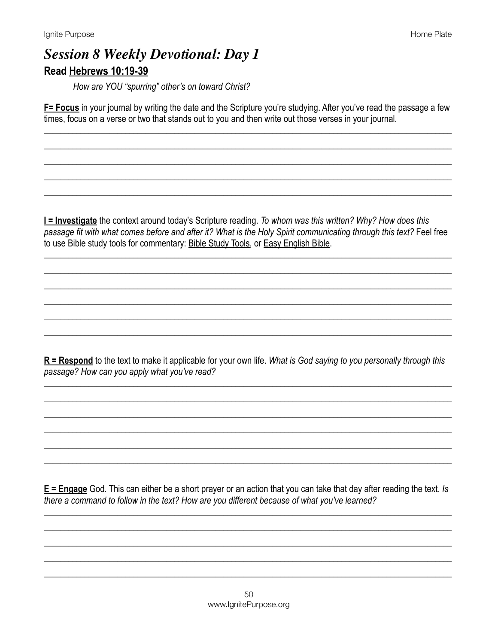# **Session 8 Weekly Devotional: Day 1** Read Hebrews 10:19-39

How are YOU "spurring" other's on toward Christ?

F= Focus in your journal by writing the date and the Scripture you're studying. After you've read the passage a few times, focus on a verse or two that stands out to you and then write out those verses in your journal.

I = Investigate the context around today's Scripture reading. To whom was this written? Why? How does this passage fit with what comes before and after it? What is the Holy Spirit communicating through this text? Feel free to use Bible study tools for commentary: Bible Study Tools, or Easy English Bible.

 $R$  = Respond to the text to make it applicable for your own life. What is God saying to you personally through this passage? How can you apply what you've read?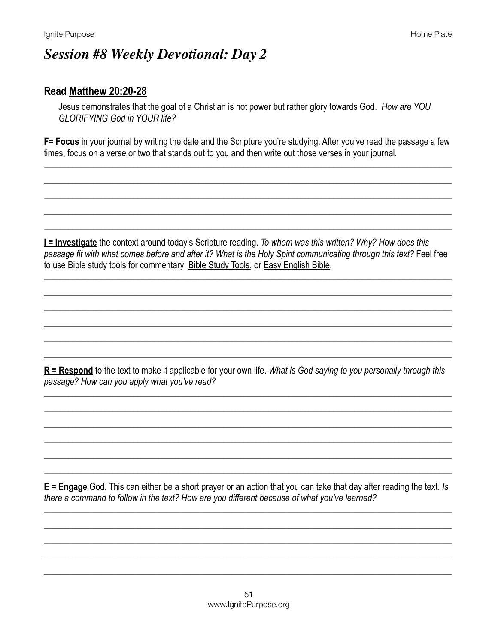## **Session #8 Weekly Devotional: Day 2**

#### Read Matthew 20:20-28

Jesus demonstrates that the goal of a Christian is not power but rather glory towards God. How are YOU GI ORIFYING God in YOUR life?

**F= Focus** in your journal by writing the date and the Scripture you're studying. After you've read the passage a few times, focus on a verse or two that stands out to you and then write out those verses in your journal.

**I = Investigate** the context around today's Scripture reading. To whom was this written? Why? How does this passage fit with what comes before and after it? What is the Holy Spirit communicating through this text? Feel free to use Bible study tools for commentary: Bible Study Tools, or Easy English Bible.

 $R$  = Respond to the text to make it applicable for your own life. What is God saying to you personally through this passage? How can you apply what you've read?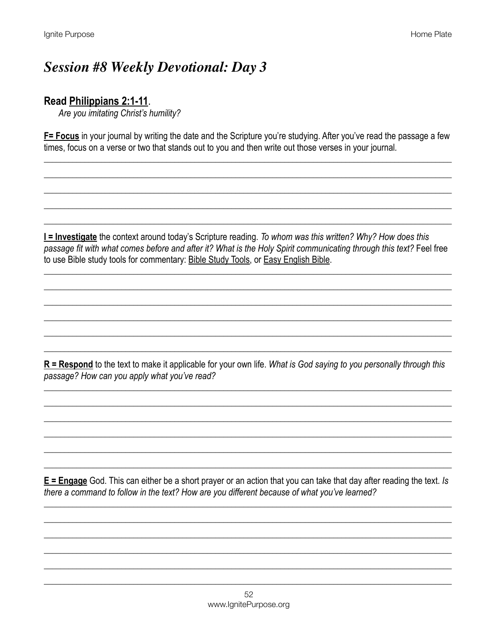# **Session #8 Weekly Devotional: Day 3**

### Read Philippians 2:1-11.

Are you imitating Christ's humility?

F= Focus in your journal by writing the date and the Scripture you're studying. After you've read the passage a few times, focus on a verse or two that stands out to you and then write out those verses in your journal.

I = Investigate the context around today's Scripture reading. To whom was this written? Why? How does this passage fit with what comes before and after it? What is the Holy Spirit communicating through this text? Feel free to use Bible study tools for commentary: Bible Study Tools, or Easy English Bible.

 $R$  = Respond to the text to make it applicable for your own life. What is God saying to you personally through this passage? How can you apply what you've read?